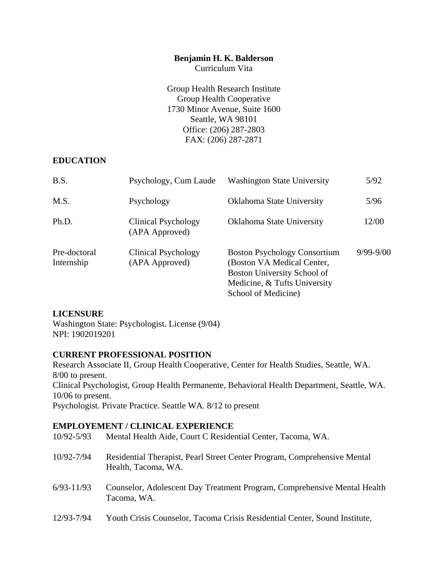#### **Benjamin H. K. Balderson**

Curriculum Vita

Group Health Research Institute Group Health Cooperative 1730 Minor Avenue, Suite 1600 Seattle, WA 98101 Office: (206) 287-2803 FAX: (206) 287-2871

# **EDUCATION**

| B.S.                       | Psychology, Cum Laude                 | <b>Washington State University</b>                                                                                                                      | 5/92          |
|----------------------------|---------------------------------------|---------------------------------------------------------------------------------------------------------------------------------------------------------|---------------|
| M.S.                       | Psychology                            | Oklahoma State University                                                                                                                               | 5/96          |
| Ph.D.                      | Clinical Psychology<br>(APA Approved) | Oklahoma State University                                                                                                                               | 12/00         |
| Pre-doctoral<br>Internship | Clinical Psychology<br>(APA Approved) | <b>Boston Psychology Consortium</b><br>(Boston VA Medical Center,<br>Boston University School of<br>Medicine, & Tufts University<br>School of Medicine) | $9/99 - 9/00$ |

# **LICENSURE**

Washington State: Psychologist. License (9/04) NPI: 1902019201

# **CURRENT PROFESSIONAL POSITION**

Research Associate II, Group Health Cooperative, Center for Health Studies, Seattle, WA. 8/00 to present. Clinical Psychologist, Group Health Permanente, Behavioral Health Department, Seattle, WA. 10/06 to present. Psychologist. Private Practice. Seattle WA. 8/12 to present

# **EMPLOYEMENT / CLINICAL EXPERIENCE**

| $10/92 - 5/93$ | Mental Health Aide, Court C Residential Center, Tacoma, WA.                                     |
|----------------|-------------------------------------------------------------------------------------------------|
| 10/92-7/94     | Residential Therapist, Pearl Street Center Program, Comprehensive Mental<br>Health, Tacoma, WA. |
| $6/93 - 11/93$ | Counselor, Adolescent Day Treatment Program, Comprehensive Mental Health<br>Tacoma, WA.         |
| 12/93-7/94     | Youth Crisis Counselor, Tacoma Crisis Residential Center, Sound Institute,                      |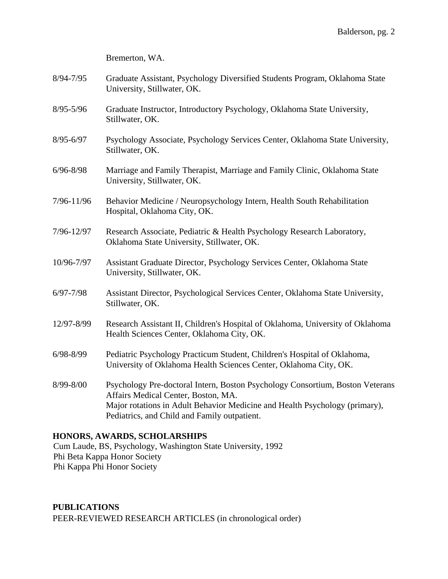Bremerton, WA.

- 8/94-7/95 Graduate Assistant, Psychology Diversified Students Program, Oklahoma State University, Stillwater, OK.
- 8/95-5/96 Graduate Instructor, Introductory Psychology, Oklahoma State University, Stillwater, OK.
- 8/95-6/97 Psychology Associate, Psychology Services Center, Oklahoma State University, Stillwater, OK.
- 6/96-8/98 Marriage and Family Therapist, Marriage and Family Clinic, Oklahoma State University, Stillwater, OK.
- 7/96-11/96 Behavior Medicine / Neuropsychology Intern, Health South Rehabilitation Hospital, Oklahoma City, OK.
- 7/96-12/97 Research Associate, Pediatric & Health Psychology Research Laboratory, Oklahoma State University, Stillwater, OK.
- 10/96-7/97 Assistant Graduate Director, Psychology Services Center, Oklahoma State University, Stillwater, OK.
- 6/97-7/98 Assistant Director, Psychological Services Center, Oklahoma State University, Stillwater, OK.
- 12/97-8/99 Research Assistant II, Children's Hospital of Oklahoma, University of Oklahoma Health Sciences Center, Oklahoma City, OK.
- 6/98-8/99 Pediatric Psychology Practicum Student, Children's Hospital of Oklahoma, University of Oklahoma Health Sciences Center, Oklahoma City, OK.
- 8/99-8/00 Psychology Pre-doctoral Intern, Boston Psychology Consortium, Boston Veterans Affairs Medical Center, Boston, MA. Major rotations in Adult Behavior Medicine and Health Psychology (primary), Pediatrics, and Child and Family outpatient.

# **HONORS, AWARDS, SCHOLARSHIPS**

Cum Laude, BS, Psychology, Washington State University, 1992 Phi Beta Kappa Honor Society Phi Kappa Phi Honor Society

**PUBLICATIONS**  PEER-REVIEWED RESEARCH ARTICLES (in chronological order)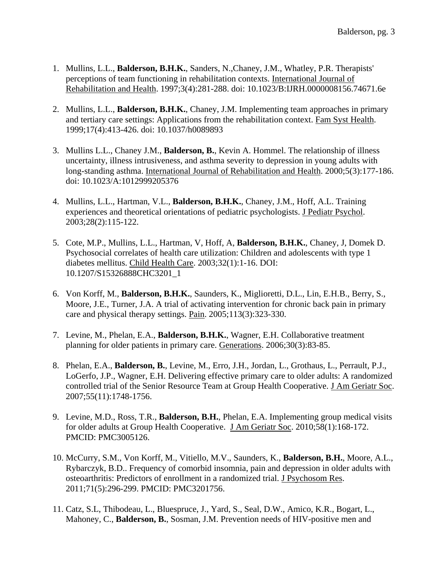- 1. Mullins, L.L., **Balderson, B.H.K.**, Sanders, N.,Chaney, J.M., Whatley, P.R. Therapists' perceptions of team functioning in rehabilitation contexts. International Journal of Rehabilitation and Health. 1997;3(4):281-288. doi: 10.1023/B:IJRH.0000008156.74671.6e
- 2. Mullins, L.L., **Balderson, B.H.K.**, Chaney, J.M. Implementing team approaches in primary and tertiary care settings: Applications from the rehabilitation context. Fam Syst Health. 1999;17(4):413-426. doi: 10.1037/h0089893
- 3. Mullins L.L., Chaney J.M., **Balderson, B.**, Kevin A. Hommel. The relationship of illness uncertainty, illness intrusiveness, and asthma severity to depression in young adults with long-standing asthma. International Journal of Rehabilitation and Health. 2000;5(3):177-186. doi: 10.1023/A:1012999205376
- 4. Mullins, L.L., Hartman, V.L., **Balderson, B.H.K.**, Chaney, J.M., Hoff, A.L. Training experiences and theoretical orientations of pediatric psychologists. J Pediatr Psychol. 2003;28(2):115-122.
- 5. Cote, M.P., Mullins, L.L., Hartman, V, Hoff, A, **Balderson, B.H.K.**, Chaney, J, Domek D. Psychosocial correlates of health care utilization: Children and adolescents with type 1 diabetes mellitus. Child Health Care. 2003;32(1):1-16. DOI: 10.1207/S15326888CHC3201\_1
- 6. Von Korff, M., **Balderson, B.H.K.**, Saunders, K., Miglioretti, D.L., Lin, E.H.B., Berry, S., Moore, J.E., Turner, J.A. A trial of activating intervention for chronic back pain in primary care and physical therapy settings. Pain. 2005;113(3):323-330.
- 7. Levine, M., Phelan, E.A., **Balderson, B.H.K.**, Wagner, E.H. Collaborative treatment planning for older patients in primary care. Generations. 2006;30(3):83-85.
- 8. Phelan, E.A., **Balderson, B.**, Levine, M., Erro, J.H., Jordan, L., Grothaus, L., Perrault, P.J., LoGerfo, J.P., Wagner, E.H. Delivering effective primary care to older adults: A randomized controlled trial of the Senior Resource Team at Group Health Cooperative. J Am Geriatr Soc. 2007;55(11):1748-1756.
- 9. Levine, M.D., Ross, T.R., **Balderson, B.H.**, Phelan, E.A. Implementing group medical visits for older adults at Group Health Cooperative. J Am Geriatr Soc. 2010;58(1):168-172. PMCID: PMC3005126.
- 10. McCurry, S.M., Von Korff, M., Vitiello, M.V., Saunders, K., **Balderson, B.H.**, Moore, A.L., Rybarczyk, B.D.. Frequency of comorbid insomnia, pain and depression in older adults with osteoarthritis: Predictors of enrollment in a randomized trial. J Psychosom Res. 2011;71(5):296-299. PMCID: PMC3201756.
- 11. Catz, S.L, Thibodeau, L., Bluespruce, J., Yard, S., Seal, D.W., Amico, K.R., Bogart, L., Mahoney, C., **Balderson, B.**, Sosman, J.M. Prevention needs of HIV-positive men and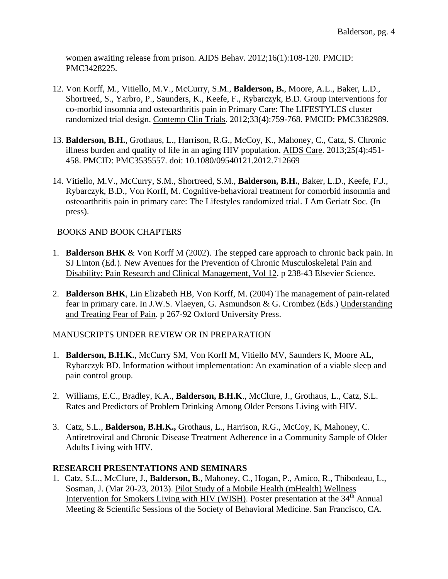women awaiting release from prison. AIDS Behav. 2012;16(1):108-120. PMCID: PMC3428225.

- 12. Von Korff, M., Vitiello, M.V., McCurry, S.M., **Balderson, B.**, Moore, A.L., Baker, L.D., Shortreed, S., Yarbro, P., Saunders, K., Keefe, F., Rybarczyk, B.D. Group interventions for co-morbid insomnia and osteoarthritis pain in Primary Care: The LIFESTYLES cluster randomized trial design. Contemp Clin Trials. 2012;33(4):759-768. PMCID: PMC3382989.
- 13. **Balderson, B.H.**, Grothaus, L., Harrison, R.G., McCoy, K., Mahoney, C., Catz, S. Chronic illness burden and quality of life in an aging HIV population. AIDS Care. 2013;25(4):451- 458. PMCID: PMC3535557. doi: 10.1080/09540121.2012.712669
- 14. Vitiello, M.V., McCurry, S.M., Shortreed, S.M., **Balderson, B.H.**, Baker, L.D., Keefe, F.J., Rybarczyk, B.D., Von Korff, M. Cognitive-behavioral treatment for comorbid insomnia and osteoarthritis pain in primary care: The Lifestyles randomized trial. J Am Geriatr Soc. (In press).

#### BOOKS AND BOOK CHAPTERS

- 1. **Balderson BHK** & Von Korff M (2002). The stepped care approach to chronic back pain. In SJ Linton (Ed.). New Avenues for the Prevention of Chronic Musculoskeletal Pain and Disability: Pain Research and Clinical Management, Vol 12. p 238-43 Elsevier Science.
- 2. **Balderson BHK**, Lin Elizabeth HB, Von Korff, M. (2004) The management of pain-related fear in primary care. In J.W.S. Vlaeyen, G. Asmundson & G. Crombez (Eds.) Understanding and Treating Fear of Pain. p 267-92 Oxford University Press.

#### MANUSCRIPTS UNDER REVIEW OR IN PREPARATION

- 1. **Balderson, B.H.K.**, McCurry SM, Von Korff M, Vitiello MV, Saunders K, Moore AL, Rybarczyk BD. Information without implementation: An examination of a viable sleep and pain control group.
- 2. Williams, E.C., Bradley, K.A., **Balderson, B.H.K**., McClure, J., Grothaus, L., Catz, S.L. Rates and Predictors of Problem Drinking Among Older Persons Living with HIV.
- 3. Catz, S.L., **Balderson, B.H.K.,** Grothaus, L., Harrison, R.G., McCoy, K, Mahoney, C. Antiretroviral and Chronic Disease Treatment Adherence in a Community Sample of Older Adults Living with HIV.

#### **RESEARCH PRESENTATIONS AND SEMINARS**

1. Catz, S.L., McClure, J., **Balderson, B.**, Mahoney, C., Hogan, P., Amico, R., Thibodeau, L., Sosman, J. (Mar 20-23, 2013). Pilot Study of a Mobile Health (mHealth) Wellness Intervention for Smokers Living with HIV (WISH). Poster presentation at the  $34<sup>th</sup>$  Annual Meeting & Scientific Sessions of the Society of Behavioral Medicine. San Francisco, CA.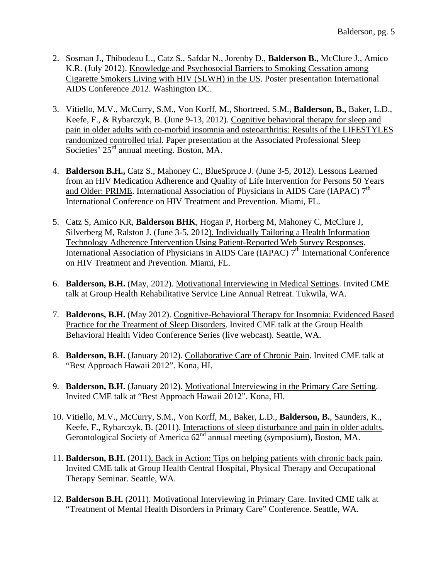- 2. Sosman J., Thibodeau L., Catz S., Safdar N., Jorenby D., **Balderson B.**, McClure J., Amico K.R. (July 2012). Knowledge and Psychosocial Barriers to Smoking Cessation among Cigarette Smokers Living with HIV (SLWH) in the US. Poster presentation International AIDS Conference 2012. Washington DC.
- 3. Vitiello, M.V., McCurry, S.M., Von Korff, M., Shortreed, S.M., **Balderson, B.,** Baker, L.D., Keefe, F., & Rybarczyk, B. (June 9-13, 2012). Cognitive behavioral therapy for sleep and pain in older adults with co-morbid insomnia and osteoarthritis: Results of the LIFESTYLES randomized controlled trial. Paper presentation at the Associated Professional Sleep Societies' 25<sup>rd</sup> annual meeting. Boston, MA.
- 4. **Balderson B.H.,** Catz S., Mahoney C., BlueSpruce J. (June 3-5, 2012). Lessons Learned from an HIV Medication Adherence and Quality of Life Intervention for Persons 50 Years and Older: PRIME. International Association of Physicians in AIDS Care (IAPAC)  $7<sup>th</sup>$ International Conference on HIV Treatment and Prevention. Miami, FL.
- 5. Catz S, Amico KR, **Balderson BHK**, Hogan P, Horberg M, Mahoney C, McClure J, Silverberg M, Ralston J. (June 3-5, 2012). Individually Tailoring a Health Information Technology Adherence Intervention Using Patient-Reported Web Survey Responses. International Association of Physicians in AIDS Care (IAPAC) 7<sup>th</sup> International Conference on HIV Treatment and Prevention. Miami, FL.
- 6. **Balderson, B.H.** (May, 2012). Motivational Interviewing in Medical Settings. Invited CME talk at Group Health Rehabilitative Service Line Annual Retreat. Tukwila, WA.
- 7. **Balderons, B.H.** (May 2012). Cognitive-Behavioral Therapy for Insomnia: Evidenced Based Practice for the Treatment of Sleep Disorders. Invited CME talk at the Group Health Behavioral Health Video Conference Series (live webcast). Seattle, WA.
- 8. **Balderson, B.H.** (January 2012). Collaborative Care of Chronic Pain. Invited CME talk at "Best Approach Hawaii 2012". Kona, HI.
- 9. **Balderson, B.H.** (January 2012). Motivational Interviewing in the Primary Care Setting. Invited CME talk at "Best Approach Hawaii 2012". Kona, HI.
- 10. Vitiello, M.V., McCurry, S.M., Von Korff, M., Baker, L.D., **Balderson, B.**, Saunders, K., Keefe, F., Rybarczyk, B. (2011). Interactions of sleep disturbance and pain in older adults. Gerontological Society of America  $62<sup>nd</sup>$  annual meeting (symposium), Boston, MA.
- 11. **Balderson, B.H.** (2011). Back in Action: Tips on helping patients with chronic back pain. Invited CME talk at Group Health Central Hospital, Physical Therapy and Occupational Therapy Seminar. Seattle, WA.
- 12. **Balderson B.H.** (2011). Motivational Interviewing in Primary Care. Invited CME talk at "Treatment of Mental Health Disorders in Primary Care" Conference. Seattle, WA.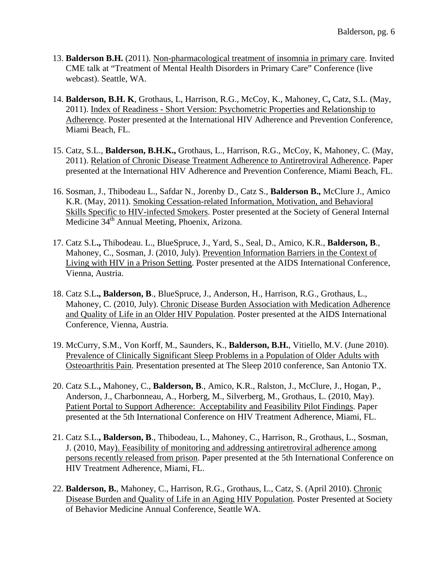- 13. **Balderson B.H.** (2011). Non-pharmacological treatment of insomnia in primary care. Invited CME talk at "Treatment of Mental Health Disorders in Primary Care" Conference (live webcast). Seattle, WA.
- 14. **Balderson, B.H. K**, Grothaus, L, Harrison, R.G., McCoy, K., Mahoney, C**,** Catz, S.L. (May, 2011). Index of Readiness - Short Version: Psychometric Properties and Relationship to Adherence. Poster presented at the International HIV Adherence and Prevention Conference, Miami Beach, FL.
- 15. Catz, S.L., **Balderson, B.H.K.,** Grothaus, L., Harrison, R.G., McCoy, K, Mahoney, C. (May, 2011). Relation of Chronic Disease Treatment Adherence to Antiretroviral Adherence. Paper presented at the International HIV Adherence and Prevention Conference, Miami Beach, FL.
- 16. Sosman, J., Thibodeau L., Safdar N., Jorenby D., Catz S., **Balderson B.,** McClure J., Amico K.R. (May, 2011). Smoking Cessation-related Information, Motivation, and Behavioral Skills Specific to HIV-infected Smokers. Poster presented at the Society of General Internal Medicine 34<sup>th</sup> Annual Meeting, Phoenix, Arizona.
- 17. Catz S.L**.,** Thibodeau. L., BlueSpruce, J., Yard, S., Seal, D., Amico, K.R., **Balderson, B**., Mahoney, C., Sosman, J. (2010, July). Prevention Information Barriers in the Context of Living with HIV in a Prison Setting. Poster presented at the AIDS International Conference, Vienna, Austria.
- 18. Catz S.L**., Balderson, B**., BlueSpruce, J., Anderson, H., Harrison, R.G., Grothaus, L., Mahoney, C. (2010, July). Chronic Disease Burden Association with Medication Adherence and Quality of Life in an Older HIV Population. Poster presented at the AIDS International Conference, Vienna, Austria.
- 19. McCurry, S.M., Von Korff, M., Saunders, K., **Balderson, B.H.**, Vitiello, M.V. (June 2010). Prevalence of Clinically Significant Sleep Problems in a Population of Older Adults with Osteoarthritis Pain. Presentation presented at The Sleep 2010 conference, San Antonio TX.
- 20. Catz S.L.**,** Mahoney, C., **Balderson, B**., Amico, K.R., Ralston, J., McClure, J., Hogan, P., Anderson, J., Charbonneau, A., Horberg, M., Silverberg, M., Grothaus, L. (2010, May). Patient Portal to Support Adherence: Acceptability and Feasibility Pilot Findings. Paper presented at the 5th International Conference on HIV Treatment Adherence, Miami, FL.
- 21. Catz S.L.**, Balderson, B**., Thibodeau, L., Mahoney, C., Harrison, R., Grothaus, L., Sosman, J. (2010, May). Feasibility of monitoring and addressing antiretroviral adherence among persons recently released from prison. Paper presented at the 5th International Conference on HIV Treatment Adherence, Miami, FL.
- 22. **Balderson, B.**, Mahoney, C., Harrison, R.G., Grothaus, L., Catz, S. (April 2010). Chronic Disease Burden and Quality of Life in an Aging HIV Population. Poster Presented at Society of Behavior Medicine Annual Conference, Seattle WA.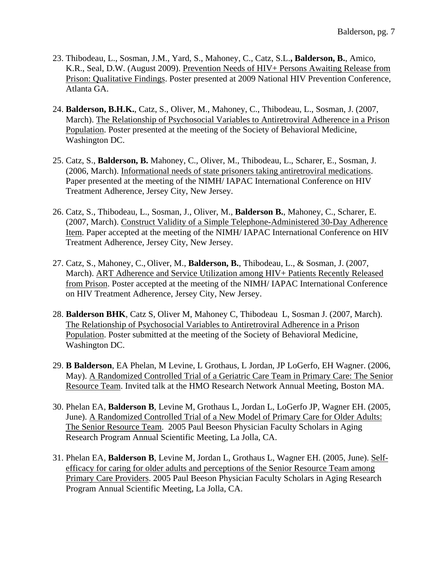- 23. Thibodeau, L., Sosman, J.M., Yard, S., Mahoney, C., Catz, S.L.**, Balderson, B.**, Amico, K.R., Seal, D.W. (August 2009). Prevention Needs of HIV+ Persons Awaiting Release from Prison: Qualitative Findings. Poster presented at 2009 National HIV Prevention Conference, Atlanta GA.
- 24. **Balderson, B.H.K.**, Catz, S., Oliver, M., Mahoney, C., Thibodeau, L., Sosman, J. (2007, March). The Relationship of Psychosocial Variables to Antiretroviral Adherence in a Prison Population. Poster presented at the meeting of the Society of Behavioral Medicine, Washington DC.
- 25. Catz, S., **Balderson, B.** Mahoney, C., Oliver, M., Thibodeau, L., Scharer, E., Sosman, J. (2006, March). Informational needs of state prisoners taking antiretroviral medications. Paper presented at the meeting of the NIMH/ IAPAC International Conference on HIV Treatment Adherence, Jersey City, New Jersey.
- 26. Catz, S., Thibodeau, L., Sosman, J., Oliver, M., **Balderson B.**, Mahoney, C., Scharer, E. (2007, March). Construct Validity of a Simple Telephone-Administered 30-Day Adherence Item. Paper accepted at the meeting of the NIMH/ IAPAC International Conference on HIV Treatment Adherence, Jersey City, New Jersey.
- 27. Catz, S., Mahoney, C., Oliver, M., **Balderson, B.**, Thibodeau, L., & Sosman, J. (2007, March). ART Adherence and Service Utilization among HIV+ Patients Recently Released from Prison. Poster accepted at the meeting of the NIMH/ IAPAC International Conference on HIV Treatment Adherence, Jersey City, New Jersey.
- 28. **Balderson BHK**, Catz S, Oliver M, Mahoney C, Thibodeau L, Sosman J. (2007, March). The Relationship of Psychosocial Variables to Antiretroviral Adherence in a Prison Population. Poster submitted at the meeting of the Society of Behavioral Medicine, Washington DC.
- 29. **B Balderson**, EA Phelan, M Levine, L Grothaus, L Jordan, JP LoGerfo, EH Wagner. (2006, May). A Randomized Controlled Trial of a Geriatric Care Team in Primary Care: The Senior Resource Team. Invited talk at the HMO Research Network Annual Meeting, Boston MA.
- 30. Phelan EA, **Balderson B**, Levine M, Grothaus L, Jordan L, LoGerfo JP, Wagner EH. (2005, June). A Randomized Controlled Trial of a New Model of Primary Care for Older Adults: The Senior Resource Team. 2005 Paul Beeson Physician Faculty Scholars in Aging Research Program Annual Scientific Meeting, La Jolla, CA.
- 31. Phelan EA, **Balderson B**, Levine M, Jordan L, Grothaus L, Wagner EH. (2005, June). Selfefficacy for caring for older adults and perceptions of the Senior Resource Team among Primary Care Providers. 2005 Paul Beeson Physician Faculty Scholars in Aging Research Program Annual Scientific Meeting, La Jolla, CA.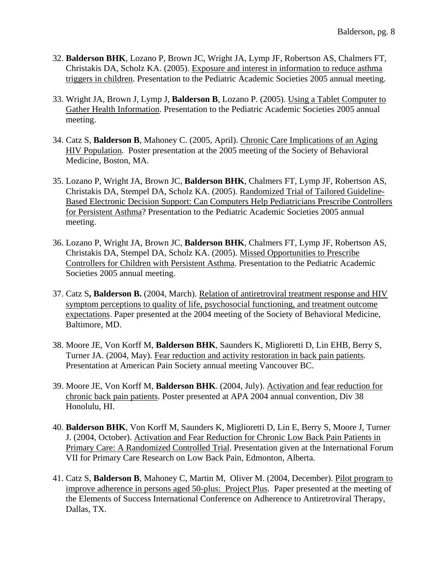- 32. **Balderson BHK**, Lozano P, Brown JC, Wright JA, Lymp JF, Robertson AS, Chalmers FT, Christakis DA, Scholz KA. (2005). Exposure and interest in information to reduce asthma triggers in children. Presentation to the Pediatric Academic Societies 2005 annual meeting.
- 33. Wright JA, Brown J, Lymp J, **Balderson B**, Lozano P. (2005). Using a Tablet Computer to Gather Health Information. Presentation to the Pediatric Academic Societies 2005 annual meeting.
- 34. Catz S, **Balderson B**, Mahoney C. (2005, April). Chronic Care Implications of an Aging HIV Population. Poster presentation at the 2005 meeting of the Society of Behavioral Medicine, Boston, MA.
- 35. Lozano P, Wright JA, Brown JC, **Balderson BHK**, Chalmers FT, Lymp JF, Robertson AS, Christakis DA, Stempel DA, Scholz KA. (2005). Randomized Trial of Tailored Guideline-Based Electronic Decision Support: Can Computers Help Pediatricians Prescribe Controllers for Persistent Asthma? Presentation to the Pediatric Academic Societies 2005 annual meeting.
- 36. Lozano P, Wright JA, Brown JC, **Balderson BHK**, Chalmers FT, Lymp JF, Robertson AS, Christakis DA, Stempel DA, Scholz KA. (2005). Missed Opportunities to Prescribe Controllers for Children with Persistent Asthma. Presentation to the Pediatric Academic Societies 2005 annual meeting.
- 37. Catz S**, Balderson B.** (2004, March). Relation of antiretroviral treatment response and HIV symptom perceptions to quality of life, psychosocial functioning, and treatment outcome expectations. Paper presented at the 2004 meeting of the Society of Behavioral Medicine, Baltimore, MD.
- 38. Moore JE, Von Korff M, **Balderson BHK**, Saunders K, Miglioretti D, Lin EHB, Berry S, Turner JA. (2004, May). Fear reduction and activity restoration in back pain patients. Presentation at American Pain Society annual meeting Vancouver BC.
- 39. Moore JE, Von Korff M, **Balderson BHK**. (2004, July). Activation and fear reduction for chronic back pain patients. Poster presented at APA 2004 annual convention, Div 38 Honolulu, HI.
- 40. **Balderson BHK**, Von Korff M, Saunders K, Miglioretti D, Lin E, Berry S, Moore J, Turner J. (2004, October). Activation and Fear Reduction for Chronic Low Back Pain Patients in Primary Care: A Randomized Controlled Trial. Presentation given at the International Forum VII for Primary Care Research on Low Back Pain, Edmonton, Alberta.
- 41. Catz S, **Balderson B**, Mahoney C, Martin M, Oliver M. (2004, December). Pilot program to improve adherence in persons aged 50-plus: Project Plus. Paper presented at the meeting of the Elements of Success International Conference on Adherence to Antiretroviral Therapy, Dallas, TX.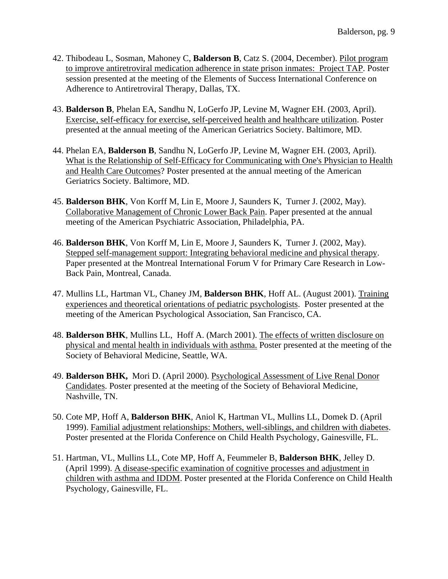- 42. Thibodeau L, Sosman, Mahoney C, **Balderson B**, Catz S. (2004, December). Pilot program to improve antiretroviral medication adherence in state prison inmates: Project TAP. Poster session presented at the meeting of the Elements of Success International Conference on Adherence to Antiretroviral Therapy, Dallas, TX.
- 43. **Balderson B**, Phelan EA, Sandhu N, LoGerfo JP, Levine M, Wagner EH. (2003, April). Exercise, self-efficacy for exercise, self-perceived health and healthcare utilization. Poster presented at the annual meeting of the American Geriatrics Society. Baltimore, MD.
- 44. Phelan EA, **Balderson B**, Sandhu N, LoGerfo JP, Levine M, Wagner EH. (2003, April). What is the Relationship of Self-Efficacy for Communicating with One's Physician to Health and Health Care Outcomes? Poster presented at the annual meeting of the American Geriatrics Society. Baltimore, MD.
- 45. **Balderson BHK**, Von Korff M, Lin E, Moore J, Saunders K, Turner J. (2002, May). Collaborative Management of Chronic Lower Back Pain. Paper presented at the annual meeting of the American Psychiatric Association, Philadelphia, PA.
- 46. **Balderson BHK**, Von Korff M, Lin E, Moore J, Saunders K, Turner J. (2002, May). Stepped self-management support: Integrating behavioral medicine and physical therapy. Paper presented at the Montreal International Forum V for Primary Care Research in Low-Back Pain, Montreal, Canada.
- 47. Mullins LL, Hartman VL, Chaney JM, **Balderson BHK**, Hoff AL. (August 2001). Training experiences and theoretical orientations of pediatric psychologists. Poster presented at the meeting of the American Psychological Association, San Francisco, CA.
- 48. **Balderson BHK**, Mullins LL, Hoff A. (March 2001). The effects of written disclosure on physical and mental health in individuals with asthma. Poster presented at the meeting of the Society of Behavioral Medicine, Seattle, WA.
- 49. **Balderson BHK,** Mori D. (April 2000). Psychological Assessment of Live Renal Donor Candidates. Poster presented at the meeting of the Society of Behavioral Medicine, Nashville, TN.
- 50. Cote MP, Hoff A, **Balderson BHK**, Aniol K, Hartman VL, Mullins LL, Domek D. (April 1999). Familial adjustment relationships: Mothers, well-siblings, and children with diabetes. Poster presented at the Florida Conference on Child Health Psychology, Gainesville, FL.
- 51. Hartman, VL, Mullins LL, Cote MP, Hoff A, Feummeler B, **Balderson BHK**, Jelley D. (April 1999). A disease-specific examination of cognitive processes and adjustment in children with asthma and IDDM. Poster presented at the Florida Conference on Child Health Psychology, Gainesville, FL.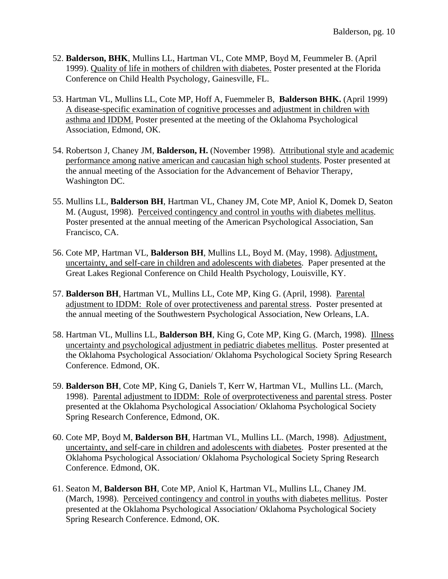- 52. **Balderson, BHK**, Mullins LL, Hartman VL, Cote MMP, Boyd M, Feummeler B. (April 1999). Quality of life in mothers of children with diabetes. Poster presented at the Florida Conference on Child Health Psychology, Gainesville, FL.
- 53. Hartman VL, Mullins LL, Cote MP, Hoff A, Fuemmeler B, **Balderson BHK.** (April 1999) A disease-specific examination of cognitive processes and adjustment in children with asthma and IDDM. Poster presented at the meeting of the Oklahoma Psychological Association, Edmond, OK.
- 54. Robertson J, Chaney JM, **Balderson, H.** (November 1998). Attributional style and academic performance among native american and caucasian high school students. Poster presented at the annual meeting of the Association for the Advancement of Behavior Therapy, Washington DC.
- 55. Mullins LL, **Balderson BH**, Hartman VL, Chaney JM, Cote MP, Aniol K, Domek D, Seaton M. (August, 1998). Perceived contingency and control in youths with diabetes mellitus. Poster presented at the annual meeting of the American Psychological Association, San Francisco, CA.
- 56. Cote MP, Hartman VL, **Balderson BH**, Mullins LL, Boyd M. (May, 1998). Adjustment, uncertainty, and self-care in children and adolescents with diabetes. Paper presented at the Great Lakes Regional Conference on Child Health Psychology, Louisville, KY.
- 57. **Balderson BH**, Hartman VL, Mullins LL, Cote MP, King G. (April, 1998). Parental adjustment to IDDM: Role of over protectiveness and parental stress. Poster presented at the annual meeting of the Southwestern Psychological Association, New Orleans, LA.
- 58. Hartman VL, Mullins LL, **Balderson BH**, King G, Cote MP, King G. (March, 1998). Illness uncertainty and psychological adjustment in pediatric diabetes mellitus. Poster presented at the Oklahoma Psychological Association/ Oklahoma Psychological Society Spring Research Conference. Edmond, OK.
- 59. **Balderson BH**, Cote MP, King G, Daniels T, Kerr W, Hartman VL, Mullins LL. (March, 1998). Parental adjustment to IDDM: Role of overprotectiveness and parental stress. Poster presented at the Oklahoma Psychological Association/ Oklahoma Psychological Society Spring Research Conference, Edmond, OK.
- 60. Cote MP, Boyd M, **Balderson BH**, Hartman VL, Mullins LL. (March, 1998). Adjustment, uncertainty, and self-care in children and adolescents with diabetes. Poster presented at the Oklahoma Psychological Association/ Oklahoma Psychological Society Spring Research Conference. Edmond, OK.
- 61. Seaton M, **Balderson BH**, Cote MP, Aniol K, Hartman VL, Mullins LL, Chaney JM. (March, 1998). Perceived contingency and control in youths with diabetes mellitus. Poster presented at the Oklahoma Psychological Association/ Oklahoma Psychological Society Spring Research Conference. Edmond, OK.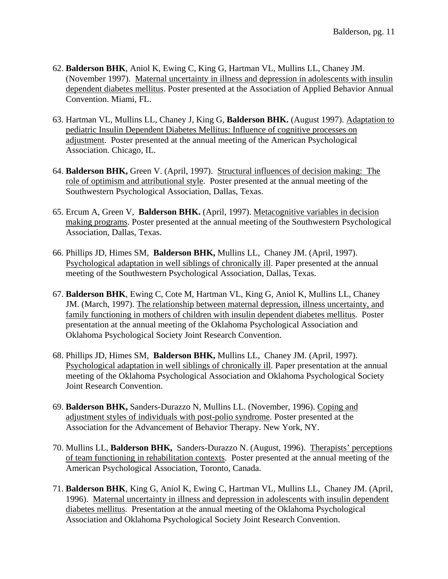- 62. **Balderson BHK**, Aniol K, Ewing C, King G, Hartman VL, Mullins LL, Chaney JM. (November 1997). Maternal uncertainty in illness and depression in adolescents with insulin dependent diabetes mellitus. Poster presented at the Association of Applied Behavior Annual Convention. Miami, FL.
- 63. Hartman VL, Mullins LL, Chaney J, King G, **Balderson BHK.** (August 1997). Adaptation to pediatric Insulin Dependent Diabetes Mellitus: Influence of cognitive processes on adjustment. Poster presented at the annual meeting of the American Psychological Association. Chicago, IL.
- 64. **Balderson BHK,** Green V. (April, 1997). Structural influences of decision making: The role of optimism and attributional style. Poster presented at the annual meeting of the Southwestern Psychological Association, Dallas, Texas.
- 65. Ercum A, Green V, **Balderson BHK.** (April, 1997). Metacognitive variables in decision making programs. Poster presented at the annual meeting of the Southwestern Psychological Association, Dallas, Texas.
- 66. Phillips JD, Himes SM, **Balderson BHK,** Mullins LL, Chaney JM. (April, 1997). Psychological adaptation in well siblings of chronically ill. Paper presented at the annual meeting of the Southwestern Psychological Association, Dallas, Texas.
- 67. **Balderson BHK**, Ewing C, Cote M, Hartman VL, King G, Aniol K, Mullins LL, Chaney JM. (March, 1997). The relationship between maternal depression, illness uncertainty, and family functioning in mothers of children with insulin dependent diabetes mellitus. Poster presentation at the annual meeting of the Oklahoma Psychological Association and Oklahoma Psychological Society Joint Research Convention.
- 68. Phillips JD, Himes SM, **Balderson BHK,** Mullins LL, Chaney JM. (April, 1997). Psychological adaptation in well siblings of chronically ill. Paper presentation at the annual meeting of the Oklahoma Psychological Association and Oklahoma Psychological Society Joint Research Convention.
- 69. **Balderson BHK,** Sanders-Durazzo N, Mullins LL. (November, 1996). Coping and adjustment styles of individuals with post-polio syndrome. Poster presented at the Association for the Advancement of Behavior Therapy. New York, NY.
- 70. Mullins LL, **Balderson BHK,** Sanders-Durazzo N. (August, 1996). Therapists' perceptions of team functioning in rehabilitation contexts. Poster presented at the annual meeting of the American Psychological Association, Toronto, Canada.
- 71. **Balderson BHK**, King G, Aniol K, Ewing C, Hartman VL, Mullins LL, Chaney JM. (April, 1996). Maternal uncertainty in illness and depression in adolescents with insulin dependent diabetes mellitus. Presentation at the annual meeting of the Oklahoma Psychological Association and Oklahoma Psychological Society Joint Research Convention.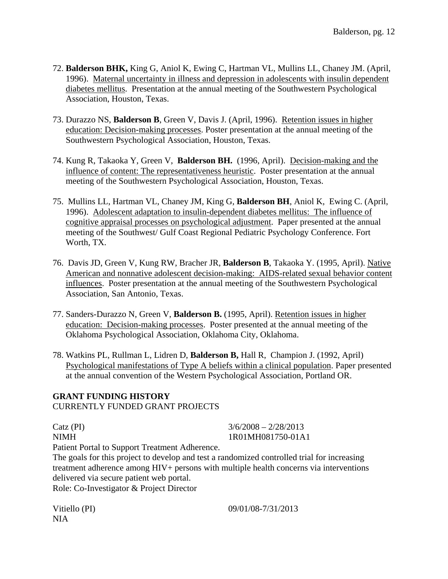- 72. **Balderson BHK,** King G, Aniol K, Ewing C, Hartman VL, Mullins LL, Chaney JM. (April, 1996). Maternal uncertainty in illness and depression in adolescents with insulin dependent diabetes mellitus. Presentation at the annual meeting of the Southwestern Psychological Association, Houston, Texas.
- 73. Durazzo NS, **Balderson B**, Green V, Davis J. (April, 1996). Retention issues in higher education: Decision-making processes. Poster presentation at the annual meeting of the Southwestern Psychological Association, Houston, Texas.
- 74. Kung R, Takaoka Y, Green V, **Balderson BH.** (1996, April). Decision-making and the influence of content: The representativeness heuristic. Poster presentation at the annual meeting of the Southwestern Psychological Association, Houston, Texas.
- 75. Mullins LL, Hartman VL, Chaney JM, King G, **Balderson BH**, Aniol K, Ewing C. (April, 1996). Adolescent adaptation to insulin-dependent diabetes mellitus: The influence of cognitive appraisal processes on psychological adjustment. Paper presented at the annual meeting of the Southwest/ Gulf Coast Regional Pediatric Psychology Conference. Fort Worth, TX.
- 76. Davis JD, Green V, Kung RW, Bracher JR, **Balderson B**, Takaoka Y. (1995, April). Native American and nonnative adolescent decision-making: AIDS-related sexual behavior content influences. Poster presentation at the annual meeting of the Southwestern Psychological Association, San Antonio, Texas.
- 77. Sanders-Durazzo N, Green V, **Balderson B.** (1995, April). Retention issues in higher education: Decision-making processes. Poster presented at the annual meeting of the Oklahoma Psychological Association, Oklahoma City, Oklahoma.
- 78. Watkins PL, Rullman L, Lidren D, **Balderson B,** Hall R, Champion J. (1992, April) Psychological manifestations of Type A beliefs within a clinical population. Paper presented at the annual convention of the Western Psychological Association, Portland OR.

# **GRANT FUNDING HISTORY**

CURRENTLY FUNDED GRANT PROJECTS

Catz (PI)  $3/6/2008 - 2/28/2013$ NIMH 1R01MH081750-01A1

Patient Portal to Support Treatment Adherence.

The goals for this project to develop and test a randomized controlled trial for increasing treatment adherence among HIV+ persons with multiple health concerns via interventions delivered via secure patient web portal. Role: Co-Investigator & Project Director

NIA

Vitiello (PI) 09/01/08-7/31/2013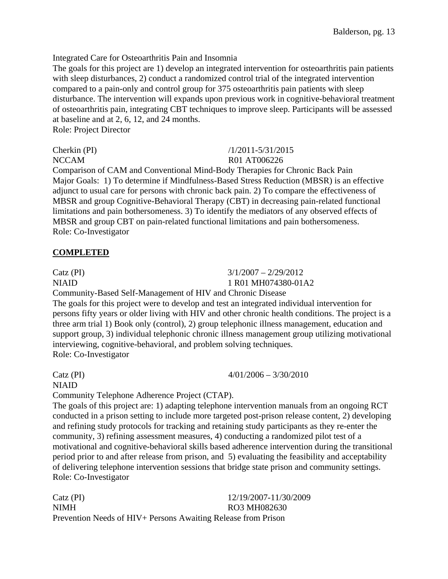Integrated Care for Osteoarthritis Pain and Insomnia

The goals for this project are 1) develop an integrated intervention for osteoarthritis pain patients with sleep disturbances, 2) conduct a randomized control trial of the integrated intervention compared to a pain-only and control group for 375 osteoarthritis pain patients with sleep disturbance. The intervention will expands upon previous work in cognitive-behavioral treatment of osteoarthritis pain, integrating CBT techniques to improve sleep. Participants will be assessed at baseline and at 2, 6, 12, and 24 months.

Role: Project Director

Cherkin (PI) /1/2011-5/31/2015 NCCAM R01 AT006226

Comparison of CAM and Conventional Mind-Body Therapies for Chronic Back Pain Major Goals: 1) To determine if Mindfulness-Based Stress Reduction (MBSR) is an effective adjunct to usual care for persons with chronic back pain. 2) To compare the effectiveness of MBSR and group Cognitive-Behavioral Therapy (CBT) in decreasing pain-related functional limitations and pain bothersomeness. 3) To identify the mediators of any observed effects of MBSR and group CBT on pain-related functional limitations and pain bothersomeness. Role: Co-Investigator

# **COMPLETED**

Catz (PI)  $3/1/2007 - 2/29/2012$ NIAID 1 R01 MH074380-01A2

Community-Based Self-Management of HIV and Chronic Disease

The goals for this project were to develop and test an integrated individual intervention for persons fifty years or older living with HIV and other chronic health conditions. The project is a three arm trial 1) Book only (control), 2) group telephonic illness management, education and support group, 3) individual telephonic chronic illness management group utilizing motivational interviewing, cognitive-behavioral, and problem solving techniques. Role: Co-Investigator

Catz (PI)  $4/01/2006 - 3/30/2010$ NIAID

Community Telephone Adherence Project (CTAP).

The goals of this project are: 1) adapting telephone intervention manuals from an ongoing RCT conducted in a prison setting to include more targeted post-prison release content, 2) developing and refining study protocols for tracking and retaining study participants as they re-enter the community, 3) refining assessment measures, 4) conducting a randomized pilot test of a motivational and cognitive-behavioral skills based adherence intervention during the transitional period prior to and after release from prison, and 5) evaluating the feasibility and acceptability of delivering telephone intervention sessions that bridge state prison and community settings. Role: Co-Investigator

Catz (PI) 12/19/2007-11/30/2009 NIMH RO3 MH082630 Prevention Needs of HIV+ Persons Awaiting Release from Prison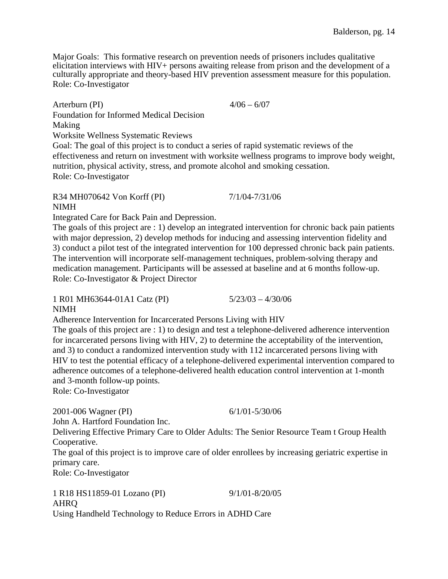Major Goals: This formative research on prevention needs of prisoners includes qualitative elicitation interviews with HIV+ persons awaiting release from prison and the development of a culturally appropriate and theory-based HIV prevention assessment measure for this population. Role: Co-Investigator

Arterburn (PI) 4/06 – 6/07 Foundation for Informed Medical Decision Making Worksite Wellness Systematic Reviews Goal: The goal of this project is to conduct a series of rapid systematic reviews of the effectiveness and return on investment with worksite wellness programs to improve body weight, nutrition, physical activity, stress, and promote alcohol and smoking cessation.

Role: Co-Investigator

#### R34 MH070642 Von Korff (PI) 7/1/04-7/31/06 NIMH

Integrated Care for Back Pain and Depression.

The goals of this project are : 1) develop an integrated intervention for chronic back pain patients with major depression, 2) develop methods for inducing and assessing intervention fidelity and 3) conduct a pilot test of the integrated intervention for 100 depressed chronic back pain patients. The intervention will incorporate self-management techniques, problem-solving therapy and medication management. Participants will be assessed at baseline and at 6 months follow-up. Role: Co-Investigator & Project Director

1 R01 MH63644-01A1 Catz (PI) 5/23/03 – 4/30/06 NIMH

Adherence Intervention for Incarcerated Persons Living with HIV

The goals of this project are : 1) to design and test a telephone-delivered adherence intervention for incarcerated persons living with HIV, 2) to determine the acceptability of the intervention, and 3) to conduct a randomized intervention study with 112 incarcerated persons living with HIV to test the potential efficacy of a telephone-delivered experimental intervention compared to adherence outcomes of a telephone-delivered health education control intervention at 1-month and 3-month follow-up points.

Role: Co-Investigator

2001-006 Wagner (PI) 6/1/01-5/30/06 John A. Hartford Foundation Inc.

Delivering Effective Primary Care to Older Adults: The Senior Resource Team t Group Health Cooperative.

The goal of this project is to improve care of older enrollees by increasing geriatric expertise in primary care.

Role: Co-Investigator

1 R18 HS11859-01 Lozano (PI) 9/1/01-8/20/05 AHRQ Using Handheld Technology to Reduce Errors in ADHD Care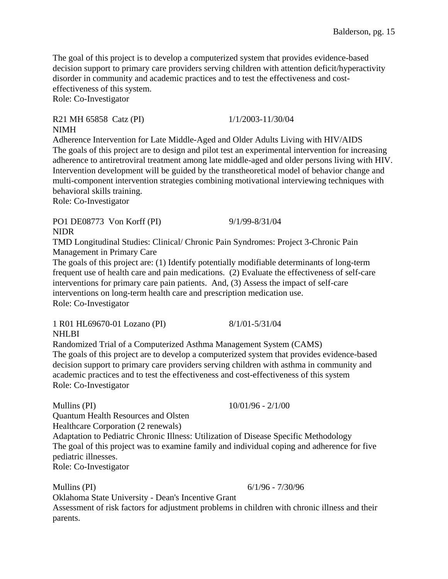The goal of this project is to develop a computerized system that provides evidence-based decision support to primary care providers serving children with attention deficit/hyperactivity disorder in community and academic practices and to test the effectiveness and costeffectiveness of this system. Role: Co-Investigator

R21 MH 65858 Catz (PI) 1/1/2003-11/30/04 NIMH

Adherence Intervention for Late Middle-Aged and Older Adults Living with HIV/AIDS The goals of this project are to design and pilot test an experimental intervention for increasing adherence to antiretroviral treatment among late middle-aged and older persons living with HIV. Intervention development will be guided by the transtheoretical model of behavior change and multi-component intervention strategies combining motivational interviewing techniques with behavioral skills training.

Role: Co-Investigator

PO1 DE08773 Von Korff (PI) 9/1/99-8/31/04 NIDR

TMD Longitudinal Studies: Clinical/ Chronic Pain Syndromes: Project 3-Chronic Pain Management in Primary Care

The goals of this project are: (1) Identify potentially modifiable determinants of long-term frequent use of health care and pain medications. (2) Evaluate the effectiveness of self-care interventions for primary care pain patients. And, (3) Assess the impact of self-care interventions on long-term health care and prescription medication use. Role: Co-Investigator

1 R01 HL69670-01 Lozano (PI) 8/1/01-5/31/04 **NHLBI** 

Randomized Trial of a Computerized Asthma Management System (CAMS) The goals of this project are to develop a computerized system that provides evidence-based decision support to primary care providers serving children with asthma in community and academic practices and to test the effectiveness and cost-effectiveness of this system Role: Co-Investigator

Mullins (PI) 10/01/96 - 2/1/00 Quantum Health Resources and Olsten Healthcare Corporation (2 renewals) Adaptation to Pediatric Chronic Illness: Utilization of Disease Specific Methodology The goal of this project was to examine family and individual coping and adherence for five pediatric illnesses. Role: Co-Investigator

Mullins (PI) 6/1/96 - 7/30/96

Oklahoma State University - Dean's Incentive Grant

Assessment of risk factors for adjustment problems in children with chronic illness and their parents.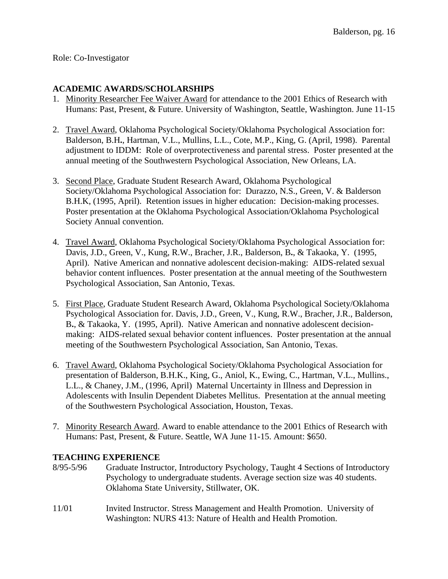# **ACADEMIC AWARDS/SCHOLARSHIPS**

- 1. Minority Researcher Fee Waiver Award for attendance to the 2001 Ethics of Research with Humans: Past, Present, & Future. University of Washington, Seattle, Washington. June 11-15
- 2. Travel Award, Oklahoma Psychological Society/Oklahoma Psychological Association for: Balderson, B.H**.**, Hartman, V.L., Mullins, L.L., Cote, M.P., King, G. (April, 1998). Parental adjustment to IDDM: Role of overprotectiveness and parental stress. Poster presented at the annual meeting of the Southwestern Psychological Association, New Orleans, LA.
- 3. Second Place, Graduate Student Research Award, Oklahoma Psychological Society/Oklahoma Psychological Association for: Durazzo, N.S., Green, V. & Balderson B.H.K, (1995, April). Retention issues in higher education: Decision-making processes. Poster presentation at the Oklahoma Psychological Association/Oklahoma Psychological Society Annual convention.
- 4. Travel Award, Oklahoma Psychological Society/Oklahoma Psychological Association for: Davis, J.D., Green, V., Kung, R.W., Bracher, J.R., Balderson, B**.**, & Takaoka, Y. (1995, April). Native American and nonnative adolescent decision-making: AIDS-related sexual behavior content influences. Poster presentation at the annual meeting of the Southwestern Psychological Association, San Antonio, Texas.
- 5. First Place, Graduate Student Research Award, Oklahoma Psychological Society/Oklahoma Psychological Association for. Davis, J.D., Green, V., Kung, R.W., Bracher, J.R., Balderson, B**.**, & Takaoka, Y. (1995, April). Native American and nonnative adolescent decisionmaking: AIDS-related sexual behavior content influences. Poster presentation at the annual meeting of the Southwestern Psychological Association, San Antonio, Texas.
- 6. Travel Award, Oklahoma Psychological Society/Oklahoma Psychological Association for presentation of Balderson, B.H.K., King, G., Aniol, K., Ewing, C., Hartman, V.L., Mullins., L.L., & Chaney, J.M., (1996, April) Maternal Uncertainty in Illness and Depression in Adolescents with Insulin Dependent Diabetes Mellitus. Presentation at the annual meeting of the Southwestern Psychological Association, Houston, Texas.
- 7. Minority Research Award. Award to enable attendance to the 2001 Ethics of Research with Humans: Past, Present, & Future. Seattle, WA June 11-15. Amount: \$650.

# **TEACHING EXPERIENCE**

- 8/95-5/96 Graduate Instructor, Introductory Psychology, Taught 4 Sections of Introductory Psychology to undergraduate students. Average section size was 40 students. Oklahoma State University, Stillwater, OK.
- 11/01 Invited Instructor. Stress Management and Health Promotion. University of Washington: NURS 413: Nature of Health and Health Promotion.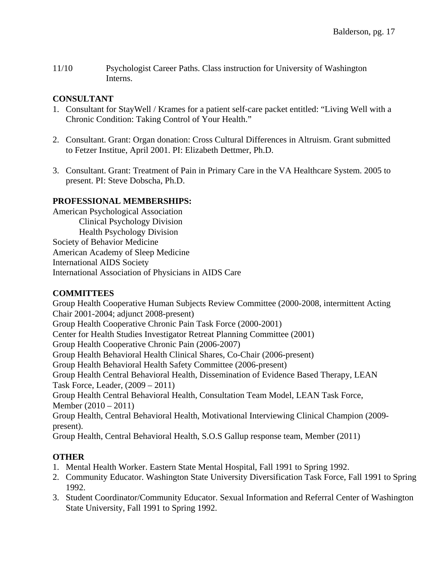11/10 Psychologist Career Paths. Class instruction for University of Washington Interns.

#### **CONSULTANT**

- 1. Consultant for StayWell / Krames for a patient self-care packet entitled: "Living Well with a Chronic Condition: Taking Control of Your Health."
- 2. Consultant. Grant: Organ donation: Cross Cultural Differences in Altruism. Grant submitted to Fetzer Institue, April 2001. PI: Elizabeth Dettmer, Ph.D.
- 3. Consultant. Grant: Treatment of Pain in Primary Care in the VA Healthcare System. 2005 to present. PI: Steve Dobscha, Ph.D.

# **PROFESSIONAL MEMBERSHIPS:**

American Psychological Association Clinical Psychology Division Health Psychology Division Society of Behavior Medicine American Academy of Sleep Medicine International AIDS Society International Association of Physicians in AIDS Care

# **COMMITTEES**

Group Health Cooperative Human Subjects Review Committee (2000-2008, intermittent Acting Chair 2001-2004; adjunct 2008-present) Group Health Cooperative Chronic Pain Task Force (2000-2001) Center for Health Studies Investigator Retreat Planning Committee (2001) Group Health Cooperative Chronic Pain (2006-2007) Group Health Behavioral Health Clinical Shares, Co-Chair (2006-present) Group Health Behavioral Health Safety Committee (2006-present) Group Health Central Behavioral Health, Dissemination of Evidence Based Therapy, LEAN Task Force, Leader, (2009 – 2011) Group Health Central Behavioral Health, Consultation Team Model, LEAN Task Force, Member (2010 – 2011) Group Health, Central Behavioral Health, Motivational Interviewing Clinical Champion (2009 present). Group Health, Central Behavioral Health, S.O.S Gallup response team, Member (2011)

# **OTHER**

- 1. Mental Health Worker. Eastern State Mental Hospital, Fall 1991 to Spring 1992.
- 2. Community Educator. Washington State University Diversification Task Force, Fall 1991 to Spring 1992.
- 3. Student Coordinator/Community Educator. Sexual Information and Referral Center of Washington State University, Fall 1991 to Spring 1992.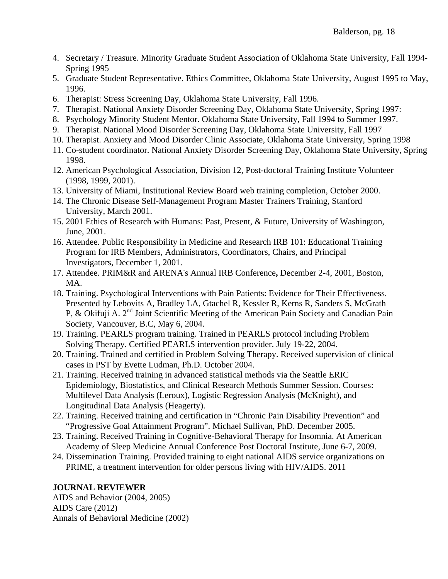- 4. Secretary / Treasure. Minority Graduate Student Association of Oklahoma State University, Fall 1994- Spring 1995
- 5. Graduate Student Representative. Ethics Committee, Oklahoma State University, August 1995 to May, 1996.
- 6. Therapist: Stress Screening Day, Oklahoma State University, Fall 1996.
- 7. Therapist. National Anxiety Disorder Screening Day, Oklahoma State University, Spring 1997:
- 8. Psychology Minority Student Mentor. Oklahoma State University, Fall 1994 to Summer 1997.
- 9. Therapist. National Mood Disorder Screening Day, Oklahoma State University, Fall 1997
- 10. Therapist. Anxiety and Mood Disorder Clinic Associate, Oklahoma State University, Spring 1998
- 11. Co-student coordinator. National Anxiety Disorder Screening Day, Oklahoma State University, Spring 1998.
- 12. American Psychological Association, Division 12, Post-doctoral Training Institute Volunteer (1998, 1999, 2001).
- 13. University of Miami, Institutional Review Board web training completion, October 2000.
- 14. The Chronic Disease Self-Management Program Master Trainers Training, Stanford University, March 2001.
- 15. 2001 Ethics of Research with Humans: Past, Present, & Future, University of Washington, June, 2001.
- 16. Attendee. Public Responsibility in Medicine and Research IRB 101: Educational Training Program for IRB Members, Administrators, Coordinators, Chairs, and Principal Investigators, December 1, 2001.
- 17. Attendee. PRIM&R and ARENA's Annual IRB Conference**,** December 2-4, 2001, Boston, MA.
- 18. Training. Psychological Interventions with Pain Patients: Evidence for Their Effectiveness. Presented by Lebovits A, Bradley LA, Gtachel R, Kessler R, Kerns R, Sanders S, McGrath P, & Okifuji A. 2<sup>nd</sup> Joint Scientific Meeting of the American Pain Society and Canadian Pain Society, Vancouver, B.C, May 6, 2004.
- 19. Training. PEARLS program training. Trained in PEARLS protocol including Problem Solving Therapy. Certified PEARLS intervention provider. July 19-22, 2004.
- 20. Training. Trained and certified in Problem Solving Therapy. Received supervision of clinical cases in PST by Evette Ludman, Ph.D. October 2004.
- 21. Training. Received training in advanced statistical methods via the Seattle ERIC Epidemiology, Biostatistics, and Clinical Research Methods Summer Session. Courses: Multilevel Data Analysis (Leroux), Logistic Regression Analysis (McKnight), and Longitudinal Data Analysis (Heagerty).
- 22. Training. Received training and certification in "Chronic Pain Disability Prevention" and "Progressive Goal Attainment Program". Michael Sullivan, PhD. December 2005.
- 23. Training. Received Training in Cognitive-Behavioral Therapy for Insomnia. At American Academy of Sleep Medicine Annual Conference Post Doctoral Institute, June 6-7, 2009.
- 24. Dissemination Training. Provided training to eight national AIDS service organizations on PRIME, a treatment intervention for older persons living with HIV/AIDS. 2011

#### **JOURNAL REVIEWER**

AIDS and Behavior (2004, 2005) AIDS Care (2012) Annals of Behavioral Medicine (2002)